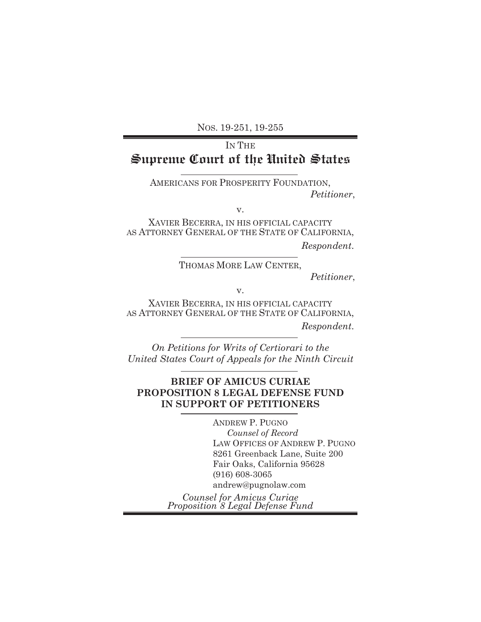NOS. 19-251, 19-255

## IN THE **Supreme Court of the United States**

AMERICANS FOR PROSPERITY FOUNDATION,  *Petitioner*,

v.

XAVIER BECERRA, IN HIS OFFICIAL CAPACITY AS ATTORNEY GENERAL OF THE STATE OF CALIFORNIA,

*Respondent*.

THOMAS MORE LAW CENTER,

 *Petitioner*,

v.

XAVIER BECERRA, IN HIS OFFICIAL CAPACITY AS ATTORNEY GENERAL OF THE STATE OF CALIFORNIA, *Respondent*.

*On Petitions for Writs of Certiorari to the United States Court of Appeals for the Ninth Circuit*

### **BRIEF OF AMICUS CURIAE PROPOSITION 8 LEGAL DEFENSE FUND IN SUPPORT OF PETITIONERS**

ANDREW P. PUGNO *Counsel of Record*  LAW OFFICES OF ANDREW P. PUGNO 8261 Greenback Lane, Suite 200 Fair Oaks, California 95628 (916) 608-3065 andrew@pugnolaw.com

*Counsel for Amicus Curiae Proposition 8 Legal Defense Fund*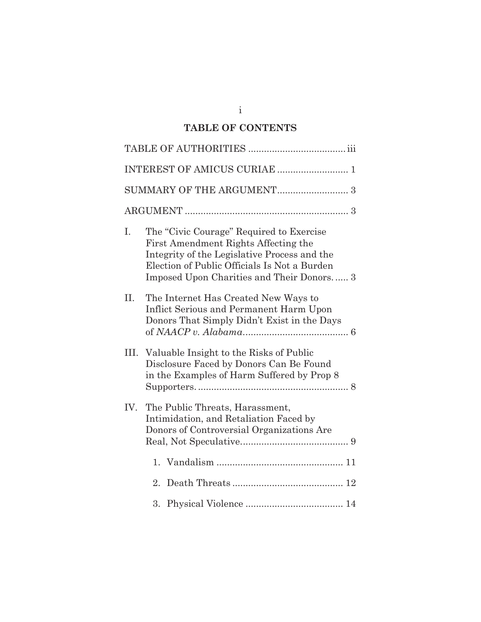## **TABLE OF CONTENTS**

|     | INTEREST OF AMICUS CURIAE  1                                                                                                                                                                                                  |  |
|-----|-------------------------------------------------------------------------------------------------------------------------------------------------------------------------------------------------------------------------------|--|
|     |                                                                                                                                                                                                                               |  |
|     |                                                                                                                                                                                                                               |  |
| I.  | The "Civic Courage" Required to Exercise<br>First Amendment Rights Affecting the<br>Integrity of the Legislative Process and the<br>Election of Public Officials Is Not a Burden<br>Imposed Upon Charities and Their Donors 3 |  |
| II. | The Internet Has Created New Ways to<br>Inflict Serious and Permanent Harm Upon<br>Donors That Simply Didn't Exist in the Days                                                                                                |  |
|     | III. Valuable Insight to the Risks of Public<br>Disclosure Faced by Donors Can Be Found<br>in the Examples of Harm Suffered by Prop 8                                                                                         |  |
| IV. | The Public Threats, Harassment,<br>Intimidation, and Retaliation Faced by<br>Donors of Controversial Organizations Are                                                                                                        |  |
|     |                                                                                                                                                                                                                               |  |
|     | 2.                                                                                                                                                                                                                            |  |
|     |                                                                                                                                                                                                                               |  |

i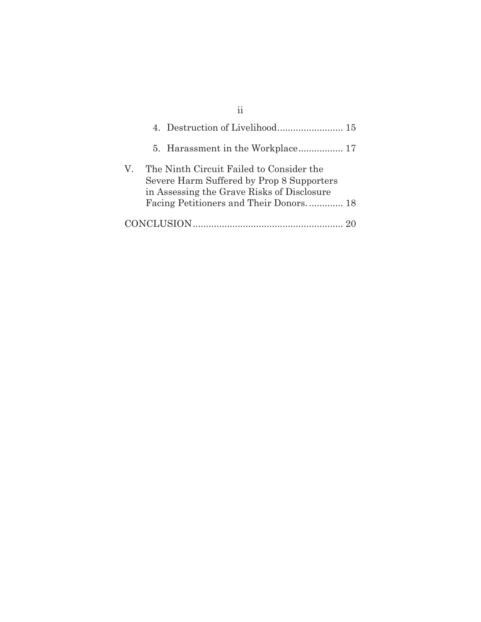| 11                                                                                                                                                                                  |
|-------------------------------------------------------------------------------------------------------------------------------------------------------------------------------------|
|                                                                                                                                                                                     |
|                                                                                                                                                                                     |
| V.<br>The Ninth Circuit Failed to Consider the<br>Severe Harm Suffered by Prop 8 Supporters<br>in Assessing the Grave Risks of Disclosure<br>Facing Petitioners and Their Donors 18 |
|                                                                                                                                                                                     |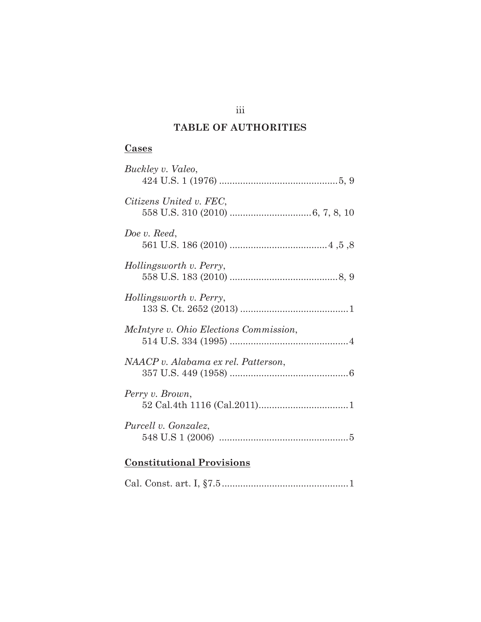## **TABLE OF AUTHORITIES**

## **Cases**

| Buckley v. Valeo,                             |
|-----------------------------------------------|
| Citizens United v. FEC,                       |
| Doe v. Reed,                                  |
| Hollingsworth v. Perry,                       |
| Hollingsworth v. Perry,                       |
| <i>McIntyre v. Ohio Elections Commission,</i> |
| NAACP v. Alabama ex rel. Patterson,           |
| Perry v. Brown,                               |
| Purcell v. Gonzalez,                          |
|                                               |

## **Constitutional Provisions**

iii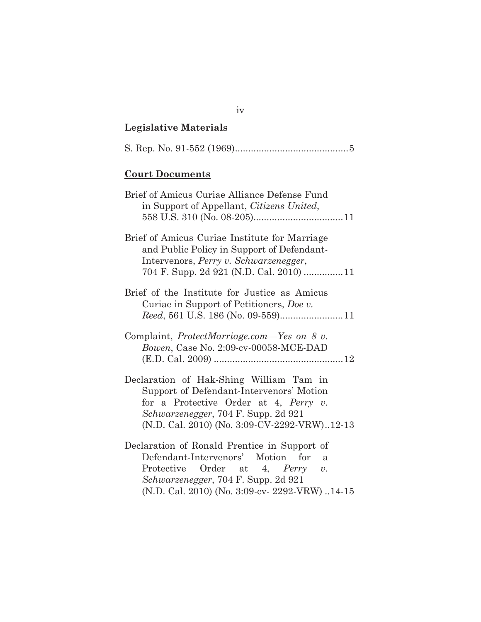# **Legislative Materials**

|--|--|

## **Court Documents**

| Brief of Amicus Curiae Alliance Defense Fund<br>in Support of Appellant, Citizens United,                                                                                                                                               |
|-----------------------------------------------------------------------------------------------------------------------------------------------------------------------------------------------------------------------------------------|
| Brief of Amicus Curiae Institute for Marriage<br>and Public Policy in Support of Defendant-<br>Intervenors, Perry v. Schwarzenegger,                                                                                                    |
| Brief of the Institute for Justice as Amicus<br>Curiae in Support of Petitioners, Doe v.                                                                                                                                                |
| Complaint, <i>ProtectMarriage.com</i> —Yes on 8 v.<br>Bowen, Case No. 2:09-cv-00058-MCE-DAD                                                                                                                                             |
| Declaration of Hak-Shing William Tam in<br>Support of Defendant-Intervenors' Motion<br>for a Protective Order at 4, Perry $v$ .<br>Schwarzenegger, 704 F. Supp. 2d 921<br>(N.D. Cal. 2010) (No. 3:09-CV-2292-VRW)12-13                  |
| Declaration of Ronald Prentice in Support of<br>Defendant-Intervenors' Motion for<br>a<br>Protective Order at 4, Perry<br>$U_{\bullet}$<br><i>Schwarzenegger, 704 F. Supp. 2d 921</i><br>(N.D. Cal. 2010) (No. 3:09-cv- 2292-VRW) 14-15 |

iv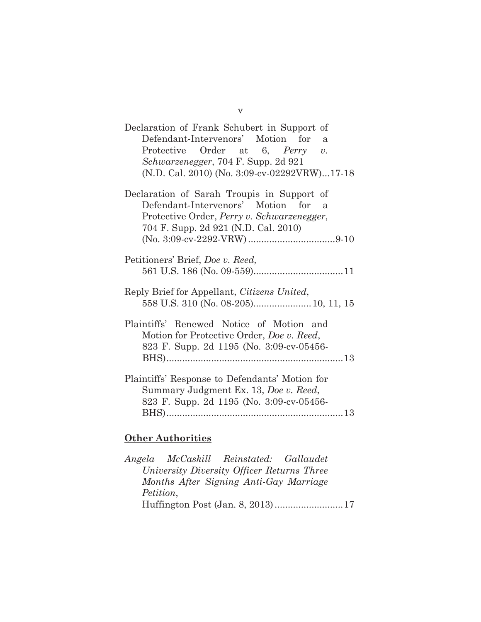| Declaration of Frank Schubert in Support of    |
|------------------------------------------------|
| Defendant-Intervenors' Motion for<br>a         |
| Protective Order at $6$ , Perry v.             |
| Schwarzenegger, 704 F. Supp. 2d 921            |
| (N.D. Cal. 2010) (No. 3:09-cv-02292VRW)17-18   |
| Declaration of Sarah Troupis in Support of     |
| Defendant-Intervenors' Motion for a            |
| Protective Order, Perry v. Schwarzenegger,     |
| 704 F. Supp. 2d 921 (N.D. Cal. 2010)           |
|                                                |
| Petitioners' Brief, Doe v. Reed,               |
|                                                |
| Reply Brief for Appellant, Citizens United,    |
| 558 U.S. 310 (No. 08-205) 10, 11, 15           |
| Plaintiffs' Renewed Notice of Motion and       |
| Motion for Protective Order, Doe v. Reed,      |
| 823 F. Supp. 2d 1195 (No. 3:09-cv-05456-       |
|                                                |
| Plaintiffs' Response to Defendants' Motion for |
| Summary Judgment Ex. 13, Doe v. Reed,          |
| 823 F. Supp. 2d 1195 (No. 3:09-cv-05456-       |
|                                                |

## **Other Authorities**

|           | Angela McCaskill Reinstated: Gallaudet     |  |
|-----------|--------------------------------------------|--|
|           | University Diversity Officer Returns Three |  |
|           | Months After Signing Anti-Gay Marriage     |  |
| Petition, |                                            |  |
|           |                                            |  |

v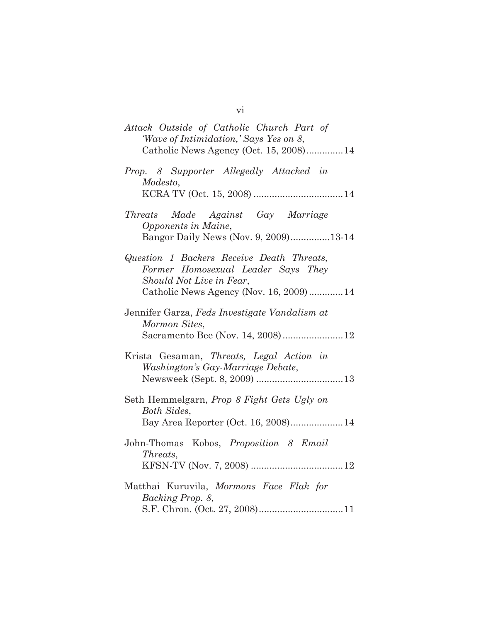| Attack Outside of Catholic Church Part of<br>'Wave of Intimidation,' Says Yes on 8,<br>Catholic News Agency (Oct. 15, 2008)14                         |
|-------------------------------------------------------------------------------------------------------------------------------------------------------|
| Prop. 8 Supporter Allegedly Attacked in<br>Modesto,                                                                                                   |
| Threats Made Against Gay Marriage<br>Opponents in Maine,<br>Bangor Daily News (Nov. 9, 2009)13-14                                                     |
| Question 1 Backers Receive Death Threats,<br>Former Homosexual Leader Says They<br>Should Not Live in Fear,<br>Catholic News Agency (Nov. 16, 2009)14 |
| Jennifer Garza, Feds Investigate Vandalism at<br>Mormon Sites,<br>Sacramento Bee (Nov. 14, 2008)12                                                    |
| Krista Gesaman, Threats, Legal Action in<br>Washington's Gay-Marriage Debate,                                                                         |
| Seth Hemmelgarn, Prop 8 Fight Gets Ugly on<br>Both Sides,<br>Bay Area Reporter (Oct. 16, 2008)14                                                      |
| John-Thomas Kobos, Proposition 8 Email<br>Threats,                                                                                                    |
| Matthai Kuruvila, Mormons Face Flak for<br>Backing Prop. 8,                                                                                           |

vi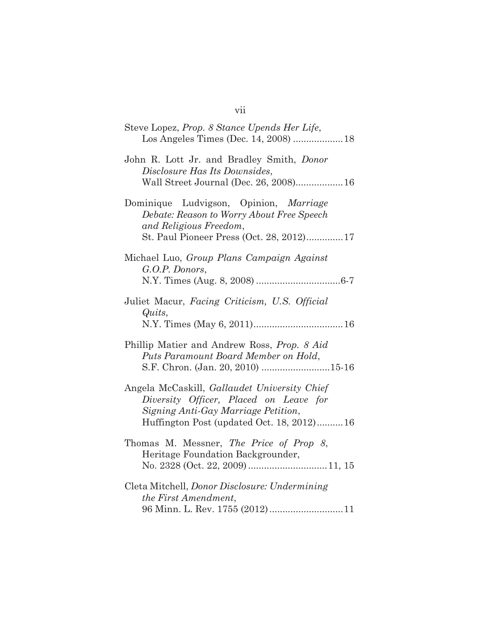| Steve Lopez, Prop. 8 Stance Upends Her Life,                                                                                                                               |
|----------------------------------------------------------------------------------------------------------------------------------------------------------------------------|
| John R. Lott Jr. and Bradley Smith, Donor<br>Disclosure Has Its Downsides,<br>Wall Street Journal (Dec. 26, 2008) 16                                                       |
| Dominique Ludvigson, Opinion, Marriage<br>Debate: Reason to Worry About Free Speech<br>and Religious Freedom,<br>St. Paul Pioneer Press (Oct. 28, 2012)17                  |
| Michael Luo, Group Plans Campaign Against<br>G.O.P. Donors,                                                                                                                |
| Juliet Macur, Facing Criticism, U.S. Official<br>Quits,                                                                                                                    |
| Phillip Matier and Andrew Ross, Prop. 8 Aid<br>Puts Paramount Board Member on Hold,<br>S.F. Chron. (Jan. 20, 2010) 15-16                                                   |
| Angela McCaskill, Gallaudet University Chief<br>Diversity Officer, Placed on Leave for<br>Signing Anti-Gay Marriage Petition,<br>Huffington Post (updated Oct. 18, 2012)16 |
| Thomas M. Messner, The Price of Prop 8,<br>Heritage Foundation Backgrounder,                                                                                               |
| Cleta Mitchell, Donor Disclosure: Undermining<br>the First Amendment,                                                                                                      |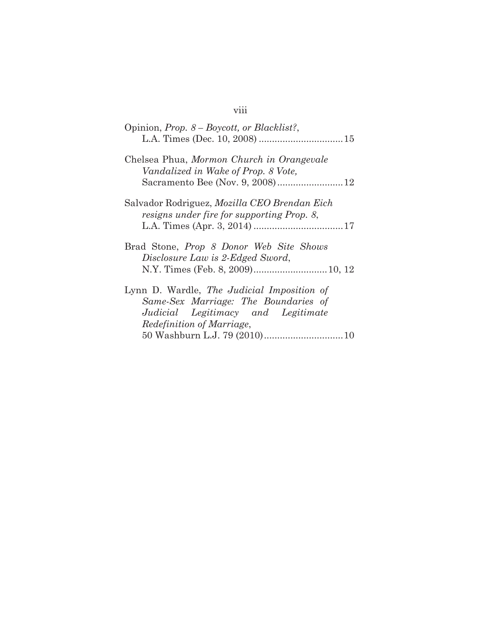# viii

| Opinion, <i>Prop.</i> $8 - Boycott$ , <i>or Blacklist?</i> ,                                                                                                        |
|---------------------------------------------------------------------------------------------------------------------------------------------------------------------|
|                                                                                                                                                                     |
| Chelsea Phua, Mormon Church in Orangevale<br>Vandalized in Wake of Prop. 8 Vote,                                                                                    |
| Salvador Rodriguez, Mozilla CEO Brendan Eich<br>resigns under fire for supporting Prop. 8,                                                                          |
| Brad Stone, <i>Prop 8 Donor Web Site Shows</i><br>Disclosure Law is 2-Edged Sword,                                                                                  |
| Lynn D. Wardle, <i>The Judicial Imposition of</i><br>Same-Sex Marriage: The Boundaries of<br>Judicial Legitimacy and Legitimate<br><i>Redefinition of Marriage,</i> |
|                                                                                                                                                                     |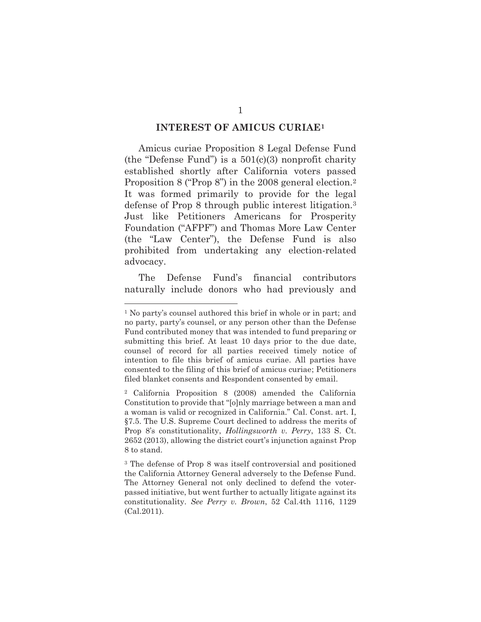#### **INTEREST OF AMICUS CURIAE1**

Amicus curiae Proposition 8 Legal Defense Fund (the "Defense Fund") is a  $501(c)(3)$  nonprofit charity established shortly after California voters passed Proposition 8 ("Prop 8") in the 2008 general election.<sup>2</sup> It was formed primarily to provide for the legal defense of Prop 8 through public interest litigation.3 Just like Petitioners Americans for Prosperity Foundation ("AFPF") and Thomas More Law Center (the "Law Center"), the Defense Fund is also prohibited from undertaking any election-related advocacy.

The Defense Fund's financial contributors naturally include donors who had previously and

<sup>1</sup> No party's counsel authored this brief in whole or in part; and no party, party's counsel, or any person other than the Defense Fund contributed money that was intended to fund preparing or submitting this brief. At least 10 days prior to the due date, counsel of record for all parties received timely notice of intention to file this brief of amicus curiae. All parties have consented to the filing of this brief of amicus curiae; Petitioners filed blanket consents and Respondent consented by email.

<sup>2</sup> California Proposition 8 (2008) amended the California Constitution to provide that "[o]nly marriage between a man and a woman is valid or recognized in California." Cal. Const. art. I, §7.5. The U.S. Supreme Court declined to address the merits of Prop 8's constitutionality, *Hollingsworth v. Perry*, 133 S. Ct. 2652 (2013), allowing the district court's injunction against Prop 8 to stand.

<sup>3</sup> The defense of Prop 8 was itself controversial and positioned the California Attorney General adversely to the Defense Fund. The Attorney General not only declined to defend the voterpassed initiative, but went further to actually litigate against its constitutionality. *See Perry v. Brown*, 52 Cal.4th 1116, 1129 (Cal.2011).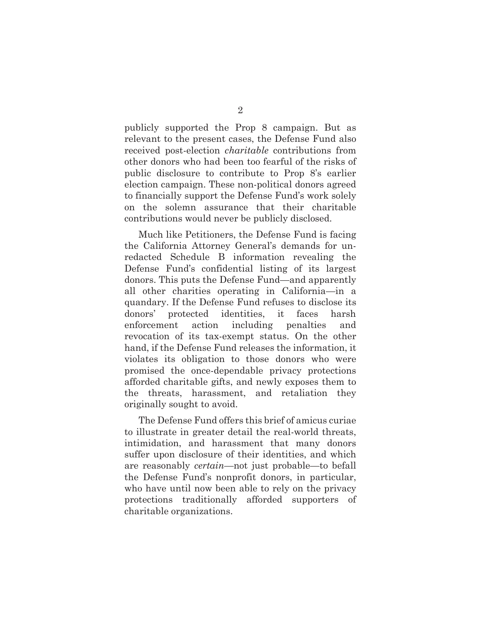publicly supported the Prop 8 campaign. But as relevant to the present cases, the Defense Fund also received post-election *charitable* contributions from other donors who had been too fearful of the risks of public disclosure to contribute to Prop 8's earlier election campaign. These non-political donors agreed to financially support the Defense Fund's work solely on the solemn assurance that their charitable contributions would never be publicly disclosed.

Much like Petitioners, the Defense Fund is facing the California Attorney General's demands for unredacted Schedule B information revealing the Defense Fund's confidential listing of its largest donors. This puts the Defense Fund—and apparently all other charities operating in California—in a quandary. If the Defense Fund refuses to disclose its donors' protected identities, it faces harsh enforcement action including penalties and revocation of its tax-exempt status. On the other hand, if the Defense Fund releases the information, it violates its obligation to those donors who were promised the once-dependable privacy protections afforded charitable gifts, and newly exposes them to the threats, harassment, and retaliation they originally sought to avoid.

The Defense Fund offers this brief of amicus curiae to illustrate in greater detail the real-world threats, intimidation, and harassment that many donors suffer upon disclosure of their identities, and which are reasonably *certain*—not just probable—to befall the Defense Fund's nonprofit donors, in particular, who have until now been able to rely on the privacy protections traditionally afforded supporters of charitable organizations.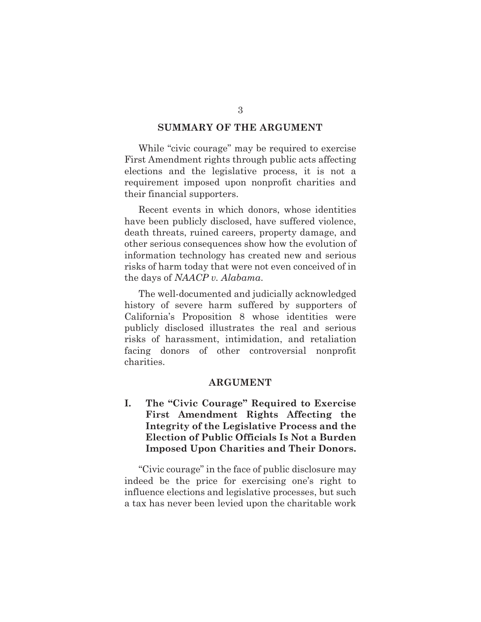### **SUMMARY OF THE ARGUMENT**

While "civic courage" may be required to exercise First Amendment rights through public acts affecting elections and the legislative process, it is not a requirement imposed upon nonprofit charities and their financial supporters.

Recent events in which donors, whose identities have been publicly disclosed, have suffered violence, death threats, ruined careers, property damage, and other serious consequences show how the evolution of information technology has created new and serious risks of harm today that were not even conceived of in the days of *NAACP v. Alabama*.

The well-documented and judicially acknowledged history of severe harm suffered by supporters of California's Proposition 8 whose identities were publicly disclosed illustrates the real and serious risks of harassment, intimidation, and retaliation facing donors of other controversial nonprofit charities.

#### **ARGUMENT**

**I. The "Civic Courage" Required to Exercise First Amendment Rights Affecting the Integrity of the Legislative Process and the Election of Public Officials Is Not a Burden Imposed Upon Charities and Their Donors.** 

"Civic courage" in the face of public disclosure may indeed be the price for exercising one's right to influence elections and legislative processes, but such a tax has never been levied upon the charitable work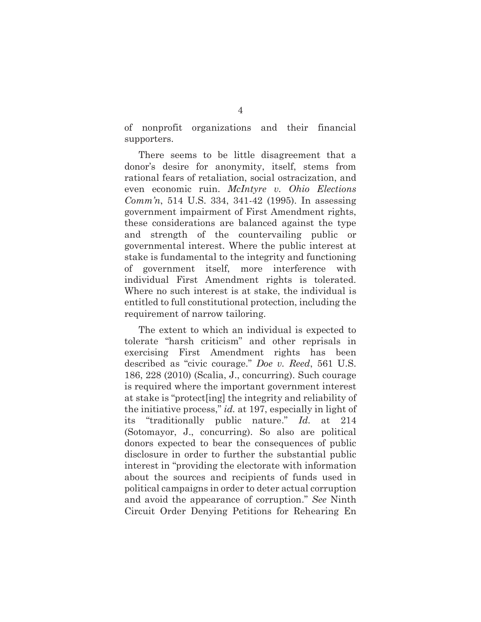of nonprofit organizations and their financial supporters.

There seems to be little disagreement that a donor's desire for anonymity, itself, stems from rational fears of retaliation, social ostracization, and even economic ruin. *McIntyre v. Ohio Elections Comm'n*, 514 U.S. 334, 341-42 (1995). In assessing government impairment of First Amendment rights, these considerations are balanced against the type and strength of the countervailing public or governmental interest. Where the public interest at stake is fundamental to the integrity and functioning of government itself, more interference with individual First Amendment rights is tolerated. Where no such interest is at stake, the individual is entitled to full constitutional protection, including the requirement of narrow tailoring.

The extent to which an individual is expected to tolerate "harsh criticism" and other reprisals in exercising First Amendment rights has been described as "civic courage." *Doe v. Reed*, 561 U.S. 186, 228 (2010) (Scalia, J., concurring). Such courage is required where the important government interest at stake is "protect[ing] the integrity and reliability of the initiative process," *id.* at 197, especially in light of its "traditionally public nature." *Id.* at 214 (Sotomayor, J., concurring). So also are political donors expected to bear the consequences of public disclosure in order to further the substantial public interest in "providing the electorate with information about the sources and recipients of funds used in political campaigns in order to deter actual corruption and avoid the appearance of corruption." *See* Ninth Circuit Order Denying Petitions for Rehearing En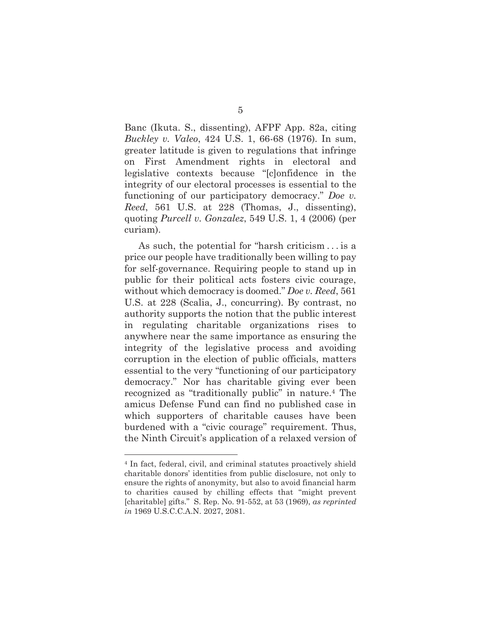Banc (Ikuta. S., dissenting), AFPF App. 82a, citing *Buckley v. Valeo*, 424 U.S. 1, 66-68 (1976). In sum, greater latitude is given to regulations that infringe on First Amendment rights in electoral and legislative contexts because "[c]onfidence in the integrity of our electoral processes is essential to the functioning of our participatory democracy." *Doe v. Reed*, 561 U.S. at 228 (Thomas, J., dissenting), quoting *Purcell v. Gonzalez*, 549 U.S. 1, 4 (2006) (per curiam).

As such, the potential for "harsh criticism . . . is a price our people have traditionally been willing to pay for self-governance. Requiring people to stand up in public for their political acts fosters civic courage, without which democracy is doomed." *Doe v. Reed*, 561 U.S. at 228 (Scalia, J., concurring). By contrast, no authority supports the notion that the public interest in regulating charitable organizations rises to anywhere near the same importance as ensuring the integrity of the legislative process and avoiding corruption in the election of public officials, matters essential to the very "functioning of our participatory democracy." Nor has charitable giving ever been recognized as "traditionally public" in nature.4 The amicus Defense Fund can find no published case in which supporters of charitable causes have been burdened with a "civic courage" requirement. Thus, the Ninth Circuit's application of a relaxed version of

<sup>4</sup> In fact, federal, civil, and criminal statutes proactively shield charitable donors' identities from public disclosure, not only to ensure the rights of anonymity, but also to avoid financial harm to charities caused by chilling effects that "might prevent [charitable] gifts." S. Rep. No. 91-552, at 53 (1969), *as reprinted in* 1969 U.S.C.C.A.N. 2027, 2081.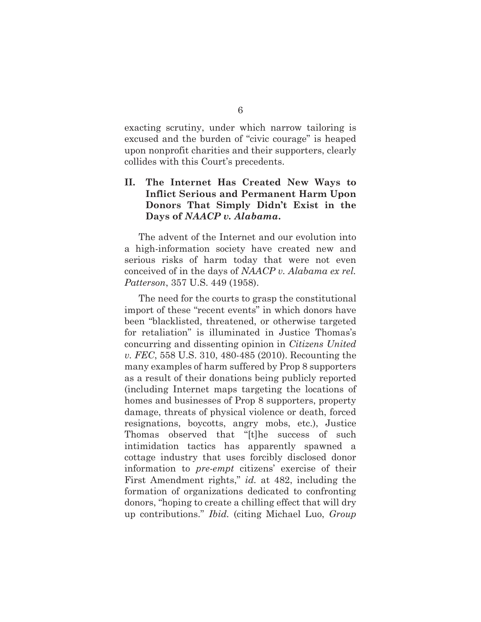exacting scrutiny, under which narrow tailoring is excused and the burden of "civic courage" is heaped upon nonprofit charities and their supporters, clearly collides with this Court's precedents.

### **II. The Internet Has Created New Ways to Inflict Serious and Permanent Harm Upon Donors That Simply Didn't Exist in the Days of** *NAACP v. Alabama***.**

The advent of the Internet and our evolution into a high-information society have created new and serious risks of harm today that were not even conceived of in the days of *NAACP v. Alabama ex rel. Patterson*, 357 U.S. 449 (1958).

The need for the courts to grasp the constitutional import of these "recent events" in which donors have been "blacklisted, threatened, or otherwise targeted for retaliation" is illuminated in Justice Thomas's concurring and dissenting opinion in *Citizens United v. FEC*, 558 U.S. 310, 480-485 (2010). Recounting the many examples of harm suffered by Prop 8 supporters as a result of their donations being publicly reported (including Internet maps targeting the locations of homes and businesses of Prop 8 supporters, property damage, threats of physical violence or death, forced resignations, boycotts, angry mobs, etc.), Justice Thomas observed that "[t]he success of such intimidation tactics has apparently spawned a cottage industry that uses forcibly disclosed donor information to *pre-empt* citizens' exercise of their First Amendment rights," *id.* at 482, including the formation of organizations dedicated to confronting donors, "hoping to create a chilling effect that will dry up contributions." *Ibid.* (citing Michael Luo, *Group*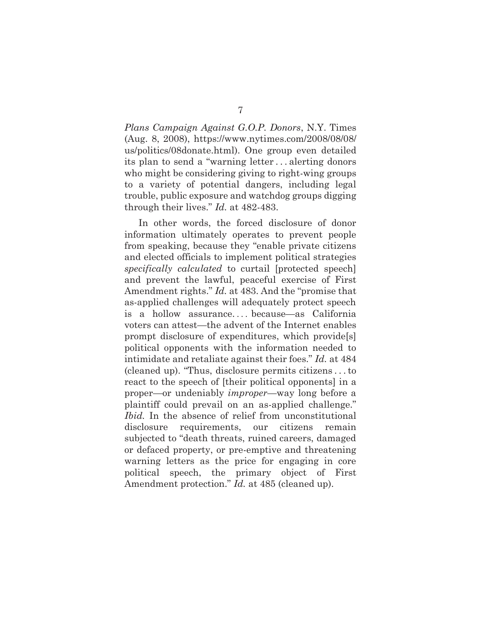*Plans Campaign Against G.O.P. Donors*, N.Y. Times (Aug. 8, 2008), https://www.nytimes.com/2008/08/08/ us/politics/08donate.html). One group even detailed its plan to send a "warning letter . . . alerting donors who might be considering giving to right-wing groups to a variety of potential dangers, including legal trouble, public exposure and watchdog groups digging through their lives." *Id.* at 482-483.

In other words, the forced disclosure of donor information ultimately operates to prevent people from speaking, because they "enable private citizens and elected officials to implement political strategies *specifically calculated* to curtail [protected speech] and prevent the lawful, peaceful exercise of First Amendment rights." *Id.* at 483. And the "promise that as-applied challenges will adequately protect speech is a hollow assurance. . . .  because—as California voters can attest—the advent of the Internet enables prompt disclosure of expenditures, which provide[s] political opponents with the information needed to intimidate and retaliate against their foes." *Id.* at 484 (cleaned up). "Thus, disclosure permits citizens . . . to react to the speech of [their political opponents] in a proper—or undeniably *improper*—way long before a plaintiff could prevail on an as-applied challenge." *Ibid.* In the absence of relief from unconstitutional disclosure requirements, our citizens remain subjected to "death threats, ruined careers, damaged or defaced property, or pre-emptive and threatening warning letters as the price for engaging in core political speech, the primary object of First Amendment protection." *Id.* at 485 (cleaned up).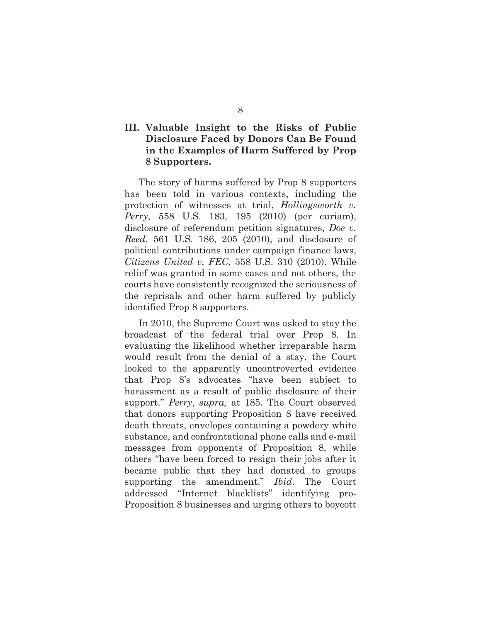### **III. Valuable Insight to the Risks of Public Disclosure Faced by Donors Can Be Found in the Examples of Harm Suffered by Prop 8 Supporters.**

The story of harms suffered by Prop 8 supporters has been told in various contexts, including the protection of witnesses at trial, *Hollingsworth v. Perry*, 558 U.S. 183, 195 (2010) (per curiam), disclosure of referendum petition signatures, *Doe v. Reed*, 561 U.S. 186, 205 (2010), and disclosure of political contributions under campaign finance laws, *Citizens United v. FEC*, 558 U.S. 310 (2010). While relief was granted in some cases and not others, the courts have consistently recognized the seriousness of the reprisals and other harm suffered by publicly identified Prop 8 supporters.

In 2010, the Supreme Court was asked to stay the broadcast of the federal trial over Prop 8. In evaluating the likelihood whether irreparable harm would result from the denial of a stay, the Court looked to the apparently uncontroverted evidence that Prop 8's advocates "have been subject to harassment as a result of public disclosure of their support." *Perry*, *supra,* at 185. The Court observed that donors supporting Proposition 8 have received death threats, envelopes containing a powdery white substance, and confrontational phone calls and e-mail messages from opponents of Proposition 8, while others "have been forced to resign their jobs after it became public that they had donated to groups supporting the amendment." *Ibid*. The Court addressed "Internet blacklists" identifying pro-Proposition 8 businesses and urging others to boycott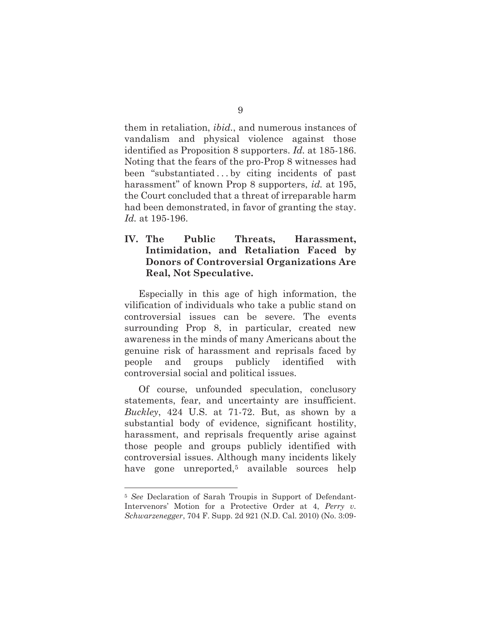them in retaliation, *ibid.*, and numerous instances of vandalism and physical violence against those identified as Proposition 8 supporters. *Id.* at 185-186. Noting that the fears of the pro-Prop 8 witnesses had been "substantiated . . . by citing incidents of past harassment" of known Prop 8 supporters, *id.* at 195, the Court concluded that a threat of irreparable harm had been demonstrated, in favor of granting the stay. *Id.* at 195-196.

### **IV. The Public Threats, Harassment, Intimidation, and Retaliation Faced by Donors of Controversial Organizations Are Real, Not Speculative.**

Especially in this age of high information, the vilification of individuals who take a public stand on controversial issues can be severe. The events surrounding Prop 8, in particular, created new awareness in the minds of many Americans about the genuine risk of harassment and reprisals faced by people and groups publicly identified with controversial social and political issues.

Of course, unfounded speculation, conclusory statements, fear, and uncertainty are insufficient. *Buckley*, 424 U.S. at 71-72. But, as shown by a substantial body of evidence, significant hostility, harassment, and reprisals frequently arise against those people and groups publicly identified with controversial issues. Although many incidents likely have gone unreported,<sup>5</sup> available sources help

<sup>5</sup> *See* Declaration of Sarah Troupis in Support of Defendant-Intervenors' Motion for a Protective Order at 4, *Perry v. Schwarzenegger*, 704 F. Supp. 2d 921 (N.D. Cal. 2010) (No. 3:09-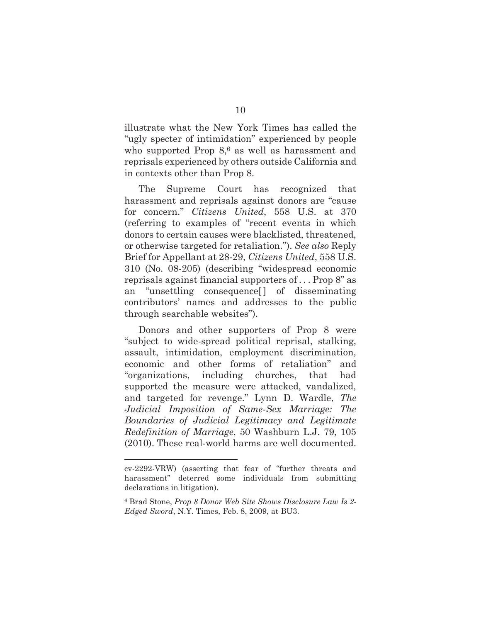illustrate what the New York Times has called the "ugly specter of intimidation" experienced by people who supported Prop 8,<sup>6</sup> as well as harassment and reprisals experienced by others outside California and in contexts other than Prop 8.

The Supreme Court has recognized that harassment and reprisals against donors are "cause for concern." *Citizens United*, 558 U.S. at 370 (referring to examples of "recent events in which donors to certain causes were blacklisted, threatened, or otherwise targeted for retaliation."). *See also* Reply Brief for Appellant at 28-29, *Citizens United*, 558 U.S. 310 (No. 08-205) (describing "widespread economic reprisals against financial supporters of . . . Prop 8" as an "unsettling consequence[ ] of disseminating contributors' names and addresses to the public through searchable websites").

Donors and other supporters of Prop 8 were "subject to wide-spread political reprisal, stalking, assault, intimidation, employment discrimination, economic and other forms of retaliation" and "organizations, including churches, that had supported the measure were attacked, vandalized, and targeted for revenge." Lynn D. Wardle, *The Judicial Imposition of Same-Sex Marriage: The Boundaries of Judicial Legitimacy and Legitimate Redefinition of Marriage*, 50 Washburn L.J. 79, 105 (2010). These real-world harms are well documented.

cv-2292-VRW) (asserting that fear of "further threats and harassment" deterred some individuals from submitting declarations in litigation).

<sup>6</sup> Brad Stone, *Prop 8 Donor Web Site Shows Disclosure Law Is 2- Edged Sword*, N.Y. Times, Feb. 8, 2009, at BU3.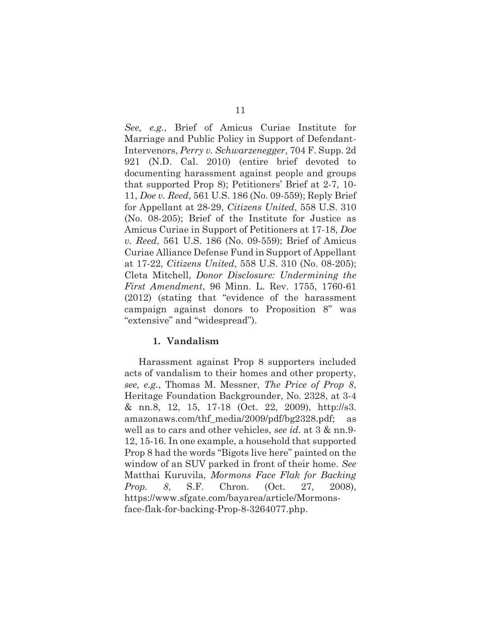*See, e.g.*, Brief of Amicus Curiae Institute for Marriage and Public Policy in Support of Defendant-Intervenors, *Perry v. Schwarzenegger*, 704 F. Supp. 2d 921 (N.D. Cal. 2010) (entire brief devoted to documenting harassment against people and groups that supported Prop 8); Petitioners' Brief at 2-7, 10- 11, *Doe v. Reed*, 561 U.S. 186 (No. 09-559); Reply Brief for Appellant at 28-29, *Citizens United*, 558 U.S. 310 (No. 08-205); Brief of the Institute for Justice as Amicus Curiae in Support of Petitioners at 17-18, *Doe v. Reed*, 561 U.S. 186 (No. 09-559); Brief of Amicus Curiae Alliance Defense Fund in Support of Appellant at 17-22, *Citizens United*, 558 U.S. 310 (No. 08-205); Cleta Mitchell, *Donor Disclosure: Undermining the First Amendment*, 96 Minn. L. Rev. 1755, 1760-61 (2012) (stating that "evidence of the harassment campaign against donors to Proposition 8" was "extensive" and "widespread").

### **1. Vandalism**

Harassment against Prop 8 supporters included acts of vandalism to their homes and other property, *see, e.g.*, Thomas M. Messner, *The Price of Prop 8*, Heritage Foundation Backgrounder, No. 2328, at 3-4 & nn.8, 12, 15, 17-18 (Oct. 22, 2009), http://s3. amazonaws.com/thf\_media/2009/pdf/bg2328.pdf; as well as to cars and other vehicles, *see id.* at 3 & nn.9- 12, 15-16. In one example, a household that supported Prop 8 had the words "Bigots live here" painted on the window of an SUV parked in front of their home. *See*  Matthai Kuruvila, *Mormons Face Flak for Backing Prop. 8*, S.F. Chron. (Oct. 27, 2008), https://www.sfgate.com/bayarea/article/Mormonsface-flak-for-backing-Prop-8-3264077.php.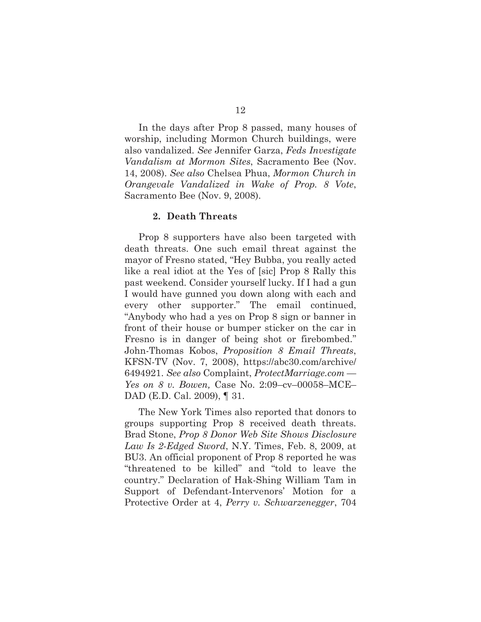In the days after Prop 8 passed, many houses of worship, including Mormon Church buildings, were also vandalized. *See* Jennifer Garza, *Feds Investigate Vandalism at Mormon Sites*, Sacramento Bee (Nov. 14, 2008). *See also* Chelsea Phua, *Mormon Church in Orangevale Vandalized in Wake of Prop. 8 Vote*, Sacramento Bee (Nov. 9, 2008).

#### **2. Death Threats**

Prop 8 supporters have also been targeted with death threats. One such email threat against the mayor of Fresno stated, "Hey Bubba, you really acted like a real idiot at the Yes of [sic] Prop 8 Rally this past weekend. Consider yourself lucky. If I had a gun I would have gunned you down along with each and every other supporter." The email continued, "Anybody who had a yes on Prop 8 sign or banner in front of their house or bumper sticker on the car in Fresno is in danger of being shot or firebombed." John-Thomas Kobos, *Proposition 8 Email Threats*, KFSN-TV (Nov. 7, 2008), https://abc30.com/archive/ 6494921. *See also* Complaint, *ProtectMarriage.com — Yes on 8 v. Bowen,* Case No. 2:09–cv–00058–MCE– DAD (E.D. Cal. 2009), ¶ 31.

The New York Times also reported that donors to groups supporting Prop 8 received death threats. Brad Stone, *Prop 8 Donor Web Site Shows Disclosure Law Is 2-Edged Sword*, N.Y. Times, Feb. 8, 2009, at BU3. An official proponent of Prop 8 reported he was "threatened to be killed" and "told to leave the country." Declaration of Hak-Shing William Tam in Support of Defendant-Intervenors' Motion for a Protective Order at 4, *Perry v. Schwarzenegger*, 704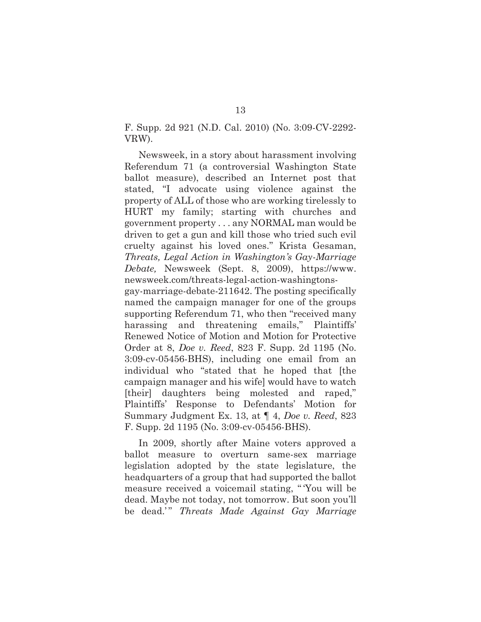F. Supp. 2d 921 (N.D. Cal. 2010) (No. 3:09-CV-2292- VRW).

Newsweek, in a story about harassment involving Referendum 71 (a controversial Washington State ballot measure), described an Internet post that stated, "I advocate using violence against the property of ALL of those who are working tirelessly to HURT my family; starting with churches and government property . . . any NORMAL man would be driven to get a gun and kill those who tried such evil cruelty against his loved ones." Krista Gesaman, *Threats, Legal Action in Washington's Gay-Marriage Debate,* Newsweek (Sept. 8, 2009), https://www. newsweek.com/threats-legal-action-washingtons-

gay-marriage-debate-211642. The posting specifically named the campaign manager for one of the groups supporting Referendum 71, who then "received many harassing and threatening emails," Plaintiffs' Renewed Notice of Motion and Motion for Protective Order at 8, *Doe v. Reed*, 823 F. Supp. 2d 1195 (No. 3:09-cv-05456-BHS), including one email from an individual who "stated that he hoped that [the campaign manager and his wife] would have to watch [their] daughters being molested and raped," Plaintiffs' Response to Defendants' Motion for Summary Judgment Ex. 13, at ¶ 4, *Doe v. Reed*, 823 F. Supp. 2d 1195 (No. 3:09-cv-05456-BHS).

In 2009, shortly after Maine voters approved a ballot measure to overturn same-sex marriage legislation adopted by the state legislature, the headquarters of a group that had supported the ballot measure received a voicemail stating, " 'You will be dead. Maybe not today, not tomorrow. But soon you'll be dead.'" *Threats Made Against Gay Marriage*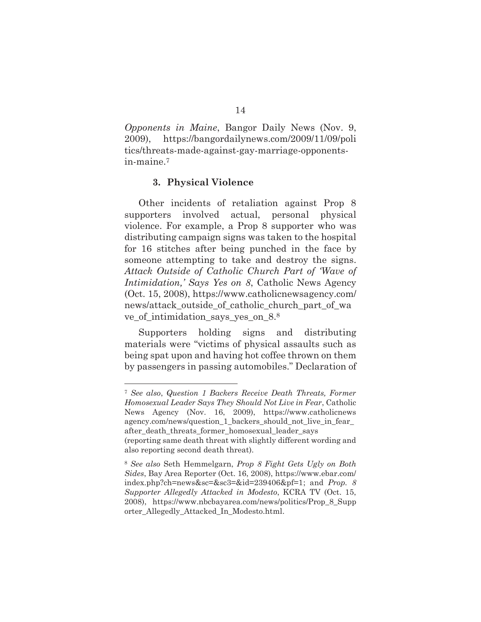*Opponents in Maine*, Bangor Daily News (Nov. 9, 2009), https://bangordailynews.com/2009/11/09/poli tics/threats-made-against-gay-marriage-opponentsin-maine.7

#### **3. Physical Violence**

Other incidents of retaliation against Prop 8 supporters involved actual, personal physical violence. For example, a Prop 8 supporter who was distributing campaign signs was taken to the hospital for 16 stitches after being punched in the face by someone attempting to take and destroy the signs. *Attack Outside of Catholic Church Part of 'Wave of Intimidation,' Says Yes on 8*, Catholic News Agency (Oct. 15, 2008), https://www.catholicnewsagency.com/ news/attack\_outside\_of\_catholic\_church\_part\_of\_wa ve of intimidation says yes on 8.8

Supporters holding signs and distributing materials were "victims of physical assaults such as being spat upon and having hot coffee thrown on them by passengers in passing automobiles." Declaration of

<sup>7</sup> *See also*, *Question 1 Backers Receive Death Threats, Former Homosexual Leader Says They Should Not Live in Fear*, Catholic News Agency (Nov. 16, 2009), https://www.catholicnews agency.com/news/question\_1\_backers\_should\_not\_live\_in\_fear\_ after death threats former homosexual leader says (reporting same death threat with slightly different wording and also reporting second death threat).

<sup>8</sup> *See also* Seth Hemmelgarn, *Prop 8 Fight Gets Ugly on Both Sides*, Bay Area Reporter (Oct. 16, 2008), https://www.ebar.com/ index.php?ch=news&sc=&sc3=&id=239406&pf=1; and *Prop. 8 Supporter Allegedly Attacked in Modesto*, KCRA TV (Oct. 15, 2008), https://www.nbcbayarea.com/news/politics/Prop\_8\_Supp orter\_Allegedly\_Attacked\_In\_Modesto.html.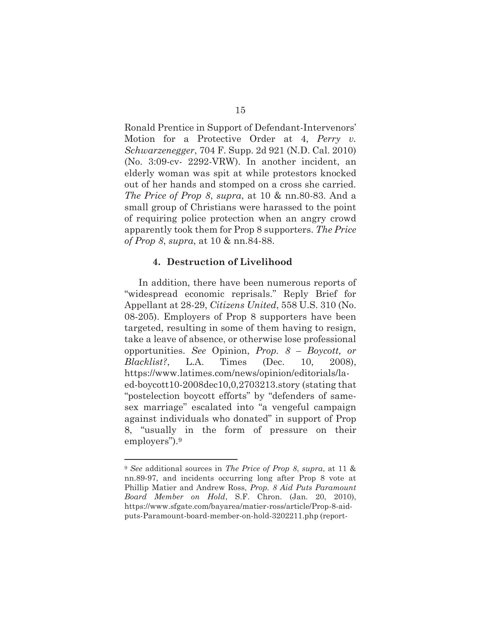Ronald Prentice in Support of Defendant-Intervenors' Motion for a Protective Order at 4, *Perry v. Schwarzenegger*, 704 F. Supp. 2d 921 (N.D. Cal. 2010) (No. 3:09-cv- 2292-VRW). In another incident, an elderly woman was spit at while protestors knocked out of her hands and stomped on a cross she carried. *The Price of Prop 8*, *supra*, at 10 & nn.80-83. And a small group of Christians were harassed to the point of requiring police protection when an angry crowd apparently took them for Prop 8 supporters. *The Price of Prop 8*, *supra*, at 10 & nn.84-88.

#### **4. Destruction of Livelihood**

In addition, there have been numerous reports of "widespread economic reprisals." Reply Brief for Appellant at 28-29, *Citizens United*, 558 U.S. 310 (No. 08-205). Employers of Prop 8 supporters have been targeted, resulting in some of them having to resign, take a leave of absence, or otherwise lose professional opportunities. *See* Opinion, *Prop. 8 – Boycott, or Blacklist?*, L.A. Times (Dec. 10, 2008), https://www.latimes.com/news/opinion/editorials/laed-boycott10-2008dec10,0,2703213.story (stating that "postelection boycott efforts" by "defenders of samesex marriage" escalated into "a vengeful campaign against individuals who donated" in support of Prop 8, "usually in the form of pressure on their employers").9

<sup>9</sup> *See* additional sources in *The Price of Prop 8*, *supra*, at 11 & nn.89-97, and incidents occurring long after Prop 8 vote at Phillip Matier and Andrew Ross, *Prop. 8 Aid Puts Paramount Board Member on Hold*, S.F. Chron. (Jan. 20, 2010), https://www.sfgate.com/bayarea/matier-ross/article/Prop-8-aidputs-Paramount-board-member-on-hold-3202211.php (report-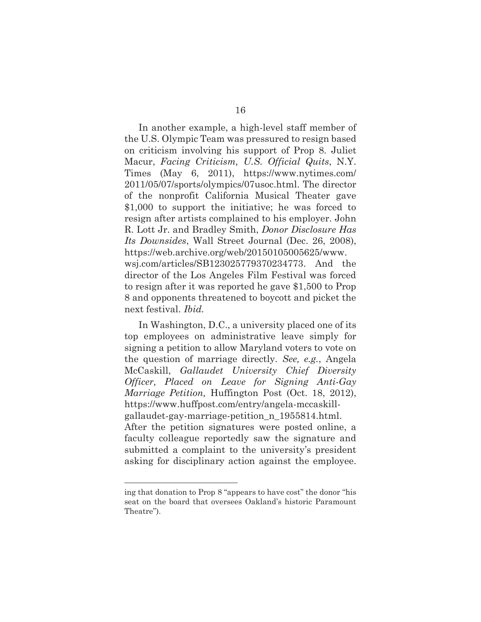In another example, a high-level staff member of the U.S. Olympic Team was pressured to resign based on criticism involving his support of Prop 8. Juliet Macur, *Facing Criticism, U.S. Official Quits*, N.Y. Times (May 6, 2011), https://www.nytimes.com/ 2011/05/07/sports/olympics/07usoc.html. The director of the nonprofit California Musical Theater gave \$1,000 to support the initiative; he was forced to resign after artists complained to his employer. John R. Lott Jr. and Bradley Smith, *Donor Disclosure Has Its Downsides*, Wall Street Journal (Dec. 26, 2008), https://web.archive.org/web/20150105005625/www. wsj.com/articles/SB123025779370234773. And the director of the Los Angeles Film Festival was forced to resign after it was reported he gave \$1,500 to Prop 8 and opponents threatened to boycott and picket the next festival. *Ibid.*

In Washington, D.C., a university placed one of its top employees on administrative leave simply for signing a petition to allow Maryland voters to vote on the question of marriage directly. *See, e.g.*, Angela McCaskill, *Gallaudet University Chief Diversity Officer, Placed on Leave for Signing Anti-Gay Marriage Petition,* Huffington Post (Oct. 18, 2012), https://www.huffpost.com/entry/angela-mccaskillgallaudet-gay-marriage-petition\_n\_1955814.html. After the petition signatures were posted online, a faculty colleague reportedly saw the signature and submitted a complaint to the university's president asking for disciplinary action against the employee.

ing that donation to Prop 8 "appears to have cost" the donor "his seat on the board that oversees Oakland's historic Paramount Theatre").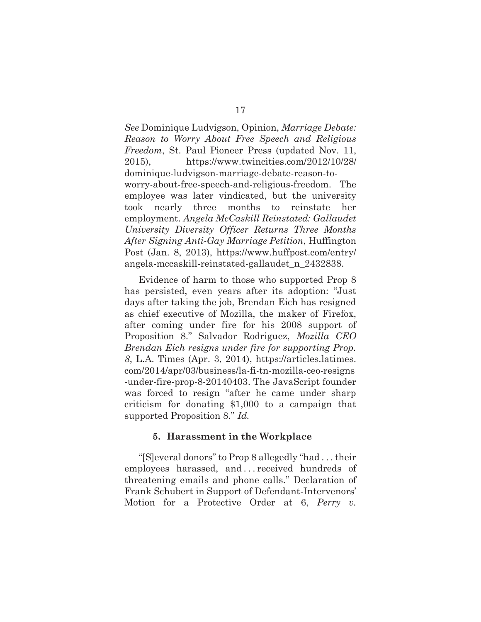*See* Dominique Ludvigson, Opinion, *Marriage Debate: Reason to Worry About Free Speech and Religious Freedom*, St. Paul Pioneer Press (updated Nov. 11, 2015), https://www.twincities.com/2012/10/28/ dominique-ludvigson-marriage-debate-reason-toworry-about-free-speech-and-religious-freedom. The employee was later vindicated, but the university took nearly three months to reinstate her employment. *Angela McCaskill Reinstated: Gallaudet University Diversity Officer Returns Three Months After Signing Anti-Gay Marriage Petition*, Huffington Post (Jan. 8, 2013), https://www.huffpost.com/entry/ angela-mccaskill-reinstated-gallaudet\_n\_2432838.

Evidence of harm to those who supported Prop 8 has persisted, even years after its adoption: "Just days after taking the job, Brendan Eich has resigned as chief executive of Mozilla, the maker of Firefox, after coming under fire for his 2008 support of Proposition 8." Salvador Rodriguez, *Mozilla CEO Brendan Eich resigns under fire for supporting Prop. 8*, L.A. Times (Apr. 3, 2014), https://articles.latimes. com/2014/apr/03/business/la-fi-tn-mozilla-ceo-resigns -under-fire-prop-8-20140403. The JavaScript founder was forced to resign "after he came under sharp criticism for donating \$1,000 to a campaign that supported Proposition 8." *Id.* 

### **5. Harassment in the Workplace**

"[S]everal donors" to Prop 8 allegedly "had . . . their employees harassed, and ... received hundreds of threatening emails and phone calls." Declaration of Frank Schubert in Support of Defendant-Intervenors' Motion for a Protective Order at 6, *Perry v.*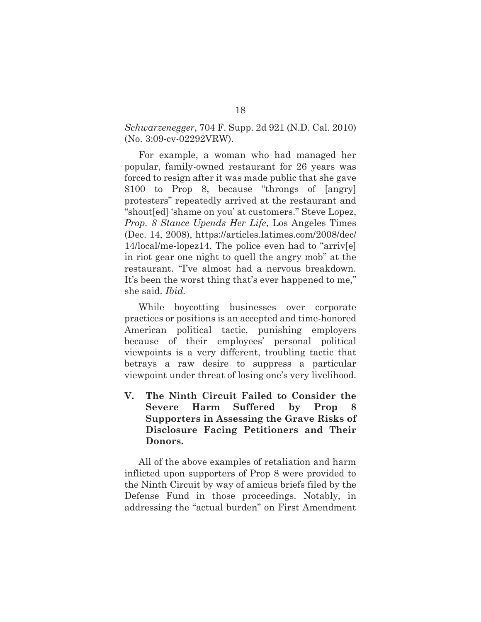*Schwarzenegger*, 704 F. Supp. 2d 921 (N.D. Cal. 2010) (No. 3:09-cv-02292VRW).

For example, a woman who had managed her popular, family-owned restaurant for 26 years was forced to resign after it was made public that she gave \$100 to Prop 8, because "throngs of [angry] protesters" repeatedly arrived at the restaurant and "shout[ed] 'shame on you' at customers." Steve Lopez, *Prop. 8 Stance Upends Her Life*, Los Angeles Times (Dec. 14, 2008), https://articles.latimes.com/2008/dec/ 14/local/me-lopez14. The police even had to "arriv[e] in riot gear one night to quell the angry mob" at the restaurant. "I've almost had a nervous breakdown. It's been the worst thing that's ever happened to me," she said. *Ibid.*

While boycotting businesses over corporate practices or positions is an accepted and time-honored American political tactic, punishing employers because of their employees' personal political viewpoints is a very different, troubling tactic that betrays a raw desire to suppress a particular viewpoint under threat of losing one's very livelihood.

**V. The Ninth Circuit Failed to Consider the Severe Harm Suffered by Prop 8 Supporters in Assessing the Grave Risks of Disclosure Facing Petitioners and Their Donors.** 

All of the above examples of retaliation and harm inflicted upon supporters of Prop 8 were provided to the Ninth Circuit by way of amicus briefs filed by the Defense Fund in those proceedings. Notably, in addressing the "actual burden" on First Amendment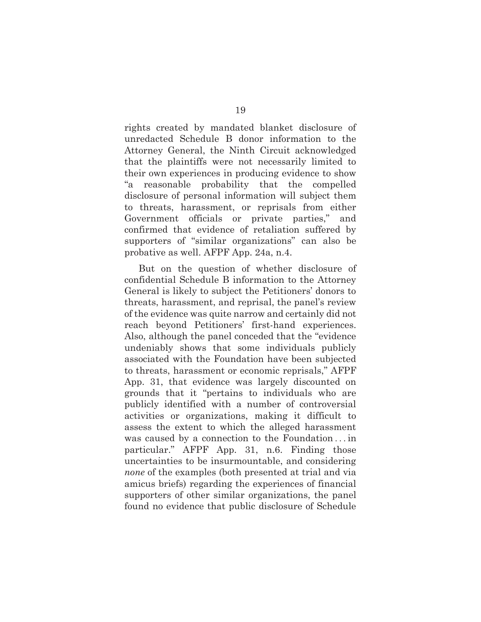rights created by mandated blanket disclosure of unredacted Schedule B donor information to the Attorney General, the Ninth Circuit acknowledged that the plaintiffs were not necessarily limited to their own experiences in producing evidence to show "a reasonable probability that the compelled disclosure of personal information will subject them to threats, harassment, or reprisals from either Government officials or private parties," and confirmed that evidence of retaliation suffered by supporters of "similar organizations" can also be probative as well. AFPF App. 24a, n.4.

But on the question of whether disclosure of confidential Schedule B information to the Attorney General is likely to subject the Petitioners' donors to threats, harassment, and reprisal, the panel's review of the evidence was quite narrow and certainly did not reach beyond Petitioners' first-hand experiences. Also, although the panel conceded that the "evidence undeniably shows that some individuals publicly associated with the Foundation have been subjected to threats, harassment or economic reprisals," AFPF App. 31, that evidence was largely discounted on grounds that it "pertains to individuals who are publicly identified with a number of controversial activities or organizations, making it difficult to assess the extent to which the alleged harassment was caused by a connection to the Foundation . . . in particular." AFPF App. 31, n.6. Finding those uncertainties to be insurmountable, and considering *none* of the examples (both presented at trial and via amicus briefs) regarding the experiences of financial supporters of other similar organizations, the panel found no evidence that public disclosure of Schedule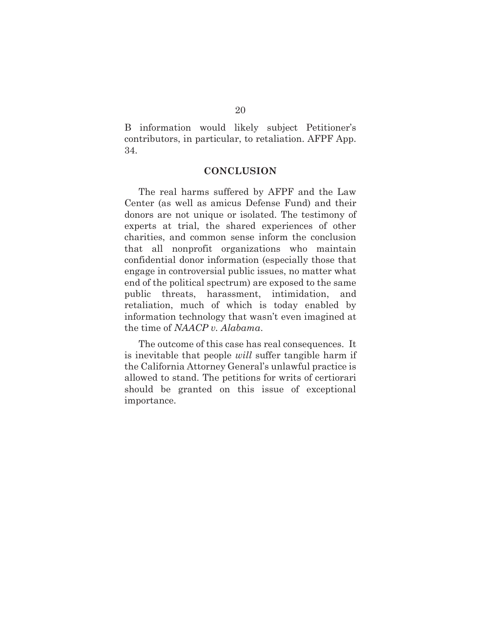B information would likely subject Petitioner's contributors, in particular, to retaliation. AFPF App. 34.

#### **CONCLUSION**

The real harms suffered by AFPF and the Law Center (as well as amicus Defense Fund) and their donors are not unique or isolated. The testimony of experts at trial, the shared experiences of other charities, and common sense inform the conclusion that all nonprofit organizations who maintain confidential donor information (especially those that engage in controversial public issues, no matter what end of the political spectrum) are exposed to the same public threats, harassment, intimidation, and retaliation, much of which is today enabled by information technology that wasn't even imagined at the time of *NAACP v. Alabama*.

The outcome of this case has real consequences. It is inevitable that people *will* suffer tangible harm if the California Attorney General's unlawful practice is allowed to stand. The petitions for writs of certiorari should be granted on this issue of exceptional importance.